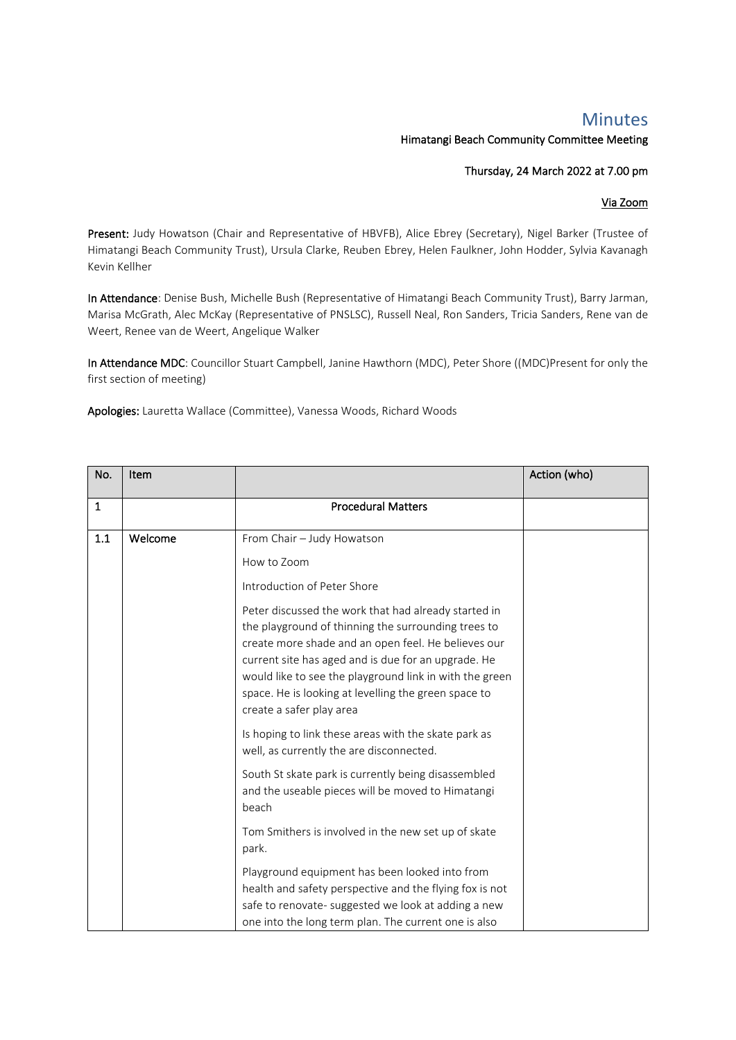## Minutes

## Himatangi Beach Community Committee Meeting

## Thursday, 24 March 2022 at 7.00 pm

## Via Zoom

Present: Judy Howatson (Chair and Representative of HBVFB), Alice Ebrey (Secretary), Nigel Barker (Trustee of Himatangi Beach Community Trust), Ursula Clarke, Reuben Ebrey, Helen Faulkner, John Hodder, Sylvia Kavanagh Kevin Kellher

In Attendance: Denise Bush, Michelle Bush (Representative of Himatangi Beach Community Trust), Barry Jarman, Marisa McGrath, Alec McKay (Representative of PNSLSC), Russell Neal, Ron Sanders, Tricia Sanders, Rene van de Weert, Renee van de Weert, Angelique Walker

In Attendance MDC: Councillor Stuart Campbell, Janine Hawthorn (MDC), Peter Shore ((MDC)Present for only the first section of meeting)

Apologies: Lauretta Wallace (Committee), Vanessa Woods, Richard Woods

| No. | Item    |                                                                                                                                                                                                                                                                                                                                                                          | Action (who) |
|-----|---------|--------------------------------------------------------------------------------------------------------------------------------------------------------------------------------------------------------------------------------------------------------------------------------------------------------------------------------------------------------------------------|--------------|
| 1   |         | <b>Procedural Matters</b>                                                                                                                                                                                                                                                                                                                                                |              |
| 1.1 | Welcome | From Chair - Judy Howatson                                                                                                                                                                                                                                                                                                                                               |              |
|     |         | How to Zoom                                                                                                                                                                                                                                                                                                                                                              |              |
|     |         | Introduction of Peter Shore                                                                                                                                                                                                                                                                                                                                              |              |
|     |         | Peter discussed the work that had already started in<br>the playground of thinning the surrounding trees to<br>create more shade and an open feel. He believes our<br>current site has aged and is due for an upgrade. He<br>would like to see the playground link in with the green<br>space. He is looking at levelling the green space to<br>create a safer play area |              |
|     |         | Is hoping to link these areas with the skate park as<br>well, as currently the are disconnected.                                                                                                                                                                                                                                                                         |              |
|     |         | South St skate park is currently being disassembled<br>and the useable pieces will be moved to Himatangi<br>beach                                                                                                                                                                                                                                                        |              |
|     |         | Tom Smithers is involved in the new set up of skate<br>park.                                                                                                                                                                                                                                                                                                             |              |
|     |         | Playground equipment has been looked into from<br>health and safety perspective and the flying fox is not<br>safe to renovate- suggested we look at adding a new<br>one into the long term plan. The current one is also                                                                                                                                                 |              |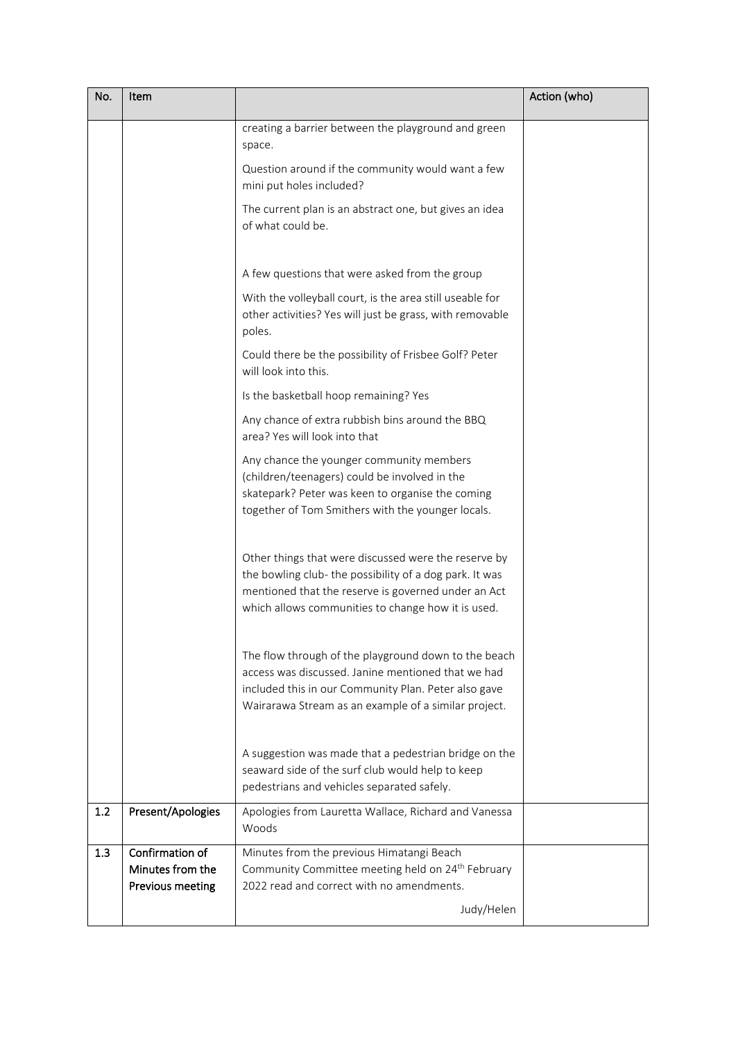| No. | Item                                                    |                                                                                                                                                                                                                              | Action (who) |
|-----|---------------------------------------------------------|------------------------------------------------------------------------------------------------------------------------------------------------------------------------------------------------------------------------------|--------------|
|     |                                                         | creating a barrier between the playground and green<br>space.                                                                                                                                                                |              |
|     |                                                         | Question around if the community would want a few<br>mini put holes included?                                                                                                                                                |              |
|     |                                                         | The current plan is an abstract one, but gives an idea<br>of what could be.                                                                                                                                                  |              |
|     |                                                         | A few questions that were asked from the group                                                                                                                                                                               |              |
|     |                                                         | With the volleyball court, is the area still useable for<br>other activities? Yes will just be grass, with removable<br>poles.                                                                                               |              |
|     |                                                         | Could there be the possibility of Frisbee Golf? Peter<br>will look into this.                                                                                                                                                |              |
|     |                                                         | Is the basketball hoop remaining? Yes                                                                                                                                                                                        |              |
|     |                                                         | Any chance of extra rubbish bins around the BBQ<br>area? Yes will look into that                                                                                                                                             |              |
|     |                                                         | Any chance the younger community members<br>(children/teenagers) could be involved in the<br>skatepark? Peter was keen to organise the coming<br>together of Tom Smithers with the younger locals.                           |              |
|     |                                                         | Other things that were discussed were the reserve by<br>the bowling club- the possibility of a dog park. It was<br>mentioned that the reserve is governed under an Act<br>which allows communities to change how it is used. |              |
|     |                                                         | The flow through of the playground down to the beach<br>access was discussed. Janine mentioned that we had<br>included this in our Community Plan. Peter also gave<br>Wairarawa Stream as an example of a similar project.   |              |
|     |                                                         | A suggestion was made that a pedestrian bridge on the<br>seaward side of the surf club would help to keep<br>pedestrians and vehicles separated safely.                                                                      |              |
| 1.2 | Present/Apologies                                       | Apologies from Lauretta Wallace, Richard and Vanessa<br>Woods                                                                                                                                                                |              |
| 1.3 | Confirmation of<br>Minutes from the<br>Previous meeting | Minutes from the previous Himatangi Beach<br>Community Committee meeting held on 24 <sup>th</sup> February<br>2022 read and correct with no amendments.                                                                      |              |
|     |                                                         | Judy/Helen                                                                                                                                                                                                                   |              |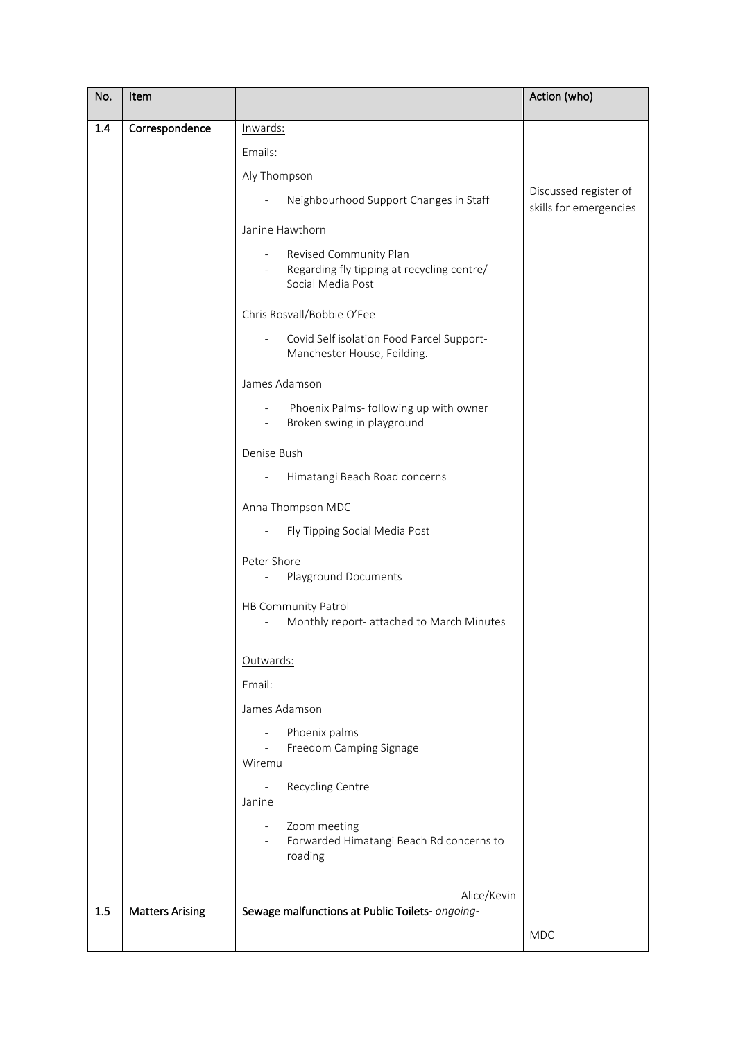| No.   | Item                   |                                                                                                                    | Action (who)                                    |
|-------|------------------------|--------------------------------------------------------------------------------------------------------------------|-------------------------------------------------|
| 1.4   | Correspondence         | Inwards:                                                                                                           |                                                 |
|       |                        | Emails:                                                                                                            |                                                 |
|       |                        | Aly Thompson                                                                                                       |                                                 |
|       |                        | Neighbourhood Support Changes in Staff                                                                             | Discussed register of<br>skills for emergencies |
|       |                        | Janine Hawthorn                                                                                                    |                                                 |
|       |                        | Revised Community Plan<br>Regarding fly tipping at recycling centre/<br>Social Media Post                          |                                                 |
|       |                        | Chris Rosvall/Bobbie O'Fee                                                                                         |                                                 |
|       |                        | Covid Self isolation Food Parcel Support-<br>Manchester House, Feilding.                                           |                                                 |
|       |                        | James Adamson                                                                                                      |                                                 |
|       |                        | Phoenix Palms- following up with owner<br>$\overline{\phantom{a}}$<br>Broken swing in playground<br>$\blacksquare$ |                                                 |
|       |                        | Denise Bush                                                                                                        |                                                 |
|       |                        | Himatangi Beach Road concerns<br>$\overline{\phantom{a}}$                                                          |                                                 |
|       |                        | Anna Thompson MDC                                                                                                  |                                                 |
|       |                        | Fly Tipping Social Media Post                                                                                      |                                                 |
|       |                        | Peter Shore<br>Playground Documents                                                                                |                                                 |
|       |                        | HB Community Patrol<br>Monthly report- attached to March Minutes                                                   |                                                 |
|       |                        | Outwards:                                                                                                          |                                                 |
|       |                        | Email:                                                                                                             |                                                 |
|       |                        | James Adamson                                                                                                      |                                                 |
|       |                        | Phoenix palms<br>$\blacksquare$<br>Freedom Camping Signage<br>$\equiv$                                             |                                                 |
|       |                        | Wiremu                                                                                                             |                                                 |
|       |                        | Recycling Centre<br>$\blacksquare$<br>Janine                                                                       |                                                 |
|       |                        | Zoom meeting<br>$\overline{\phantom{a}}$<br>Forwarded Himatangi Beach Rd concerns to<br>roading                    |                                                 |
|       |                        | Alice/Kevin                                                                                                        |                                                 |
| $1.5$ | <b>Matters Arising</b> | Sewage malfunctions at Public Toilets- ongoing-                                                                    |                                                 |
|       |                        |                                                                                                                    | <b>MDC</b>                                      |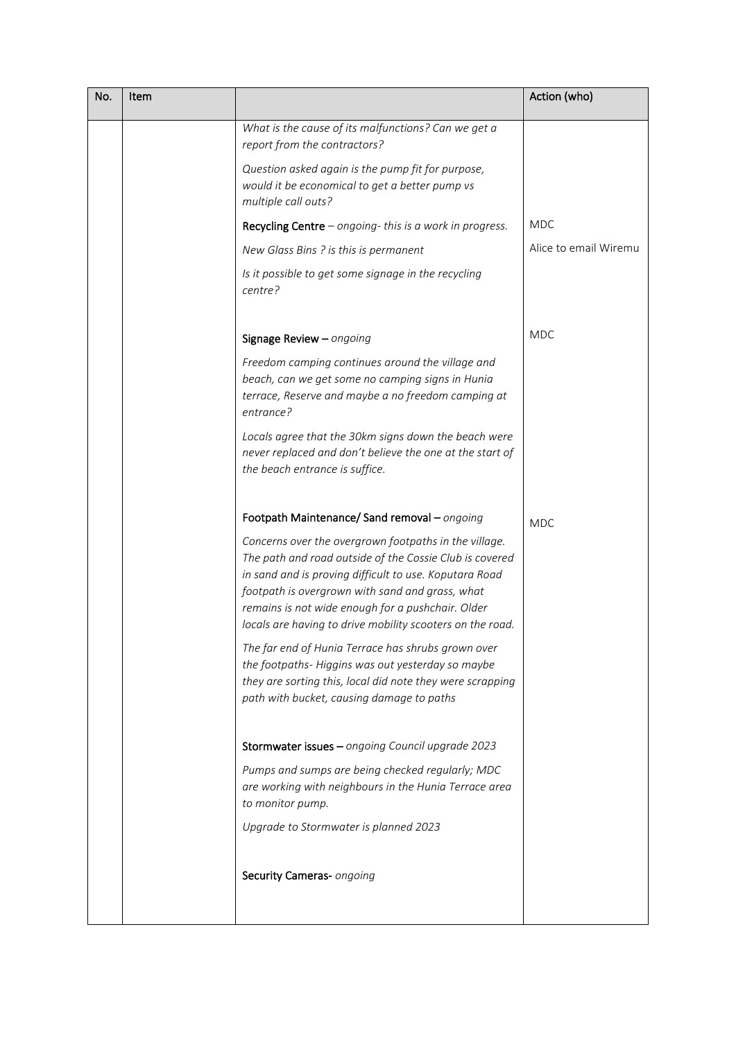| No. | Item |                                                                                                                                                                                                                                                                                                                                                 | Action (who)          |
|-----|------|-------------------------------------------------------------------------------------------------------------------------------------------------------------------------------------------------------------------------------------------------------------------------------------------------------------------------------------------------|-----------------------|
|     |      | What is the cause of its malfunctions? Can we get a<br>report from the contractors?                                                                                                                                                                                                                                                             |                       |
|     |      | Question asked again is the pump fit for purpose,<br>would it be economical to get a better pump vs<br>multiple call outs?                                                                                                                                                                                                                      |                       |
|     |      | Recycling Centre $-$ ongoing-this is a work in progress.                                                                                                                                                                                                                                                                                        | <b>MDC</b>            |
|     |      | New Glass Bins ? is this is permanent                                                                                                                                                                                                                                                                                                           | Alice to email Wiremu |
|     |      | Is it possible to get some signage in the recycling<br>centre?                                                                                                                                                                                                                                                                                  |                       |
|     |      | Signage Review - ongoing                                                                                                                                                                                                                                                                                                                        | <b>MDC</b>            |
|     |      | Freedom camping continues around the village and<br>beach, can we get some no camping signs in Hunia<br>terrace, Reserve and maybe a no freedom camping at<br>entrance?                                                                                                                                                                         |                       |
|     |      | Locals agree that the 30km signs down the beach were<br>never replaced and don't believe the one at the start of<br>the beach entrance is suffice.                                                                                                                                                                                              |                       |
|     |      | Footpath Maintenance/ Sand removal - ongoing                                                                                                                                                                                                                                                                                                    | <b>MDC</b>            |
|     |      | Concerns over the overgrown footpaths in the village.<br>The path and road outside of the Cossie Club is covered<br>in sand and is proving difficult to use. Koputara Road<br>footpath is overgrown with sand and grass, what<br>remains is not wide enough for a pushchair. Older<br>locals are having to drive mobility scooters on the road. |                       |
|     |      | The far end of Hunia Terrace has shrubs grown over<br>the footpaths-Higgins was out yesterday so maybe<br>they are sorting this, local did note they were scrapping<br>path with bucket, causing damage to paths                                                                                                                                |                       |
|     |      | Stormwater issues - ongoing Council upgrade 2023                                                                                                                                                                                                                                                                                                |                       |
|     |      | Pumps and sumps are being checked regularly; MDC<br>are working with neighbours in the Hunia Terrace area<br>to monitor pump.                                                                                                                                                                                                                   |                       |
|     |      | Upgrade to Stormwater is planned 2023                                                                                                                                                                                                                                                                                                           |                       |
|     |      | Security Cameras- ongoing                                                                                                                                                                                                                                                                                                                       |                       |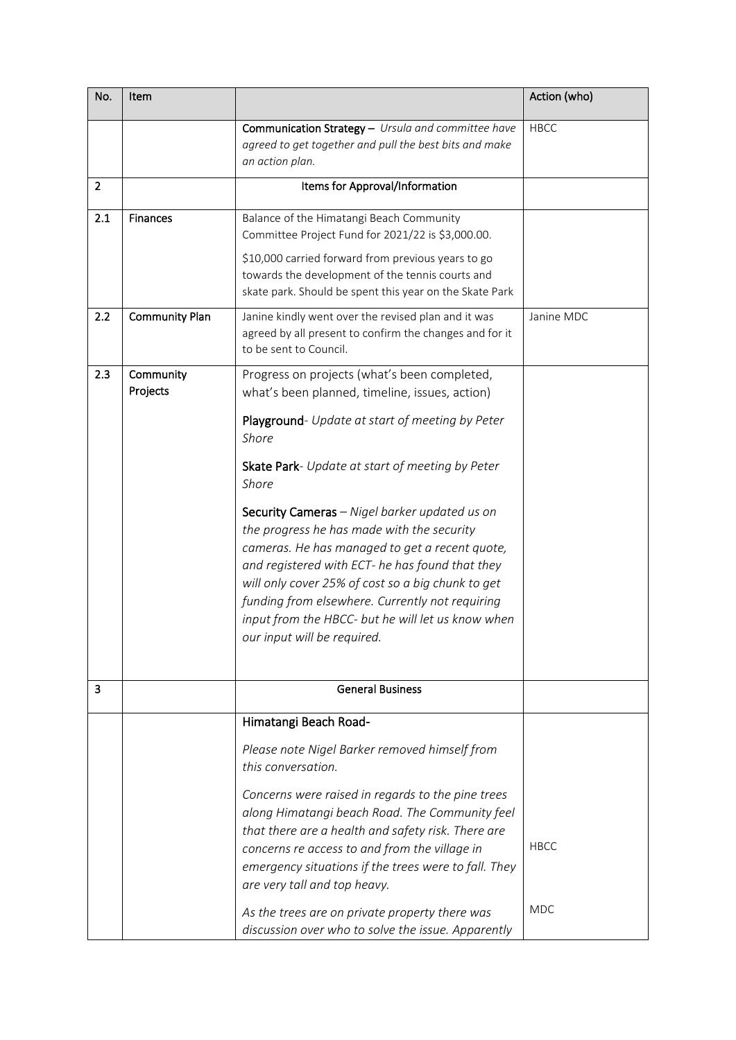| No.            | Item                  |                                                                                                                                                                                                                                                                                                                                                                                                    | Action (who)              |
|----------------|-----------------------|----------------------------------------------------------------------------------------------------------------------------------------------------------------------------------------------------------------------------------------------------------------------------------------------------------------------------------------------------------------------------------------------------|---------------------------|
|                |                       | Communication Strategy - Ursula and committee have<br>agreed to get together and pull the best bits and make<br>an action plan.                                                                                                                                                                                                                                                                    | <b>HBCC</b>               |
| $\overline{2}$ |                       | Items for Approval/Information                                                                                                                                                                                                                                                                                                                                                                     |                           |
| 2.1            | Finances              | Balance of the Himatangi Beach Community<br>Committee Project Fund for 2021/22 is \$3,000.00.                                                                                                                                                                                                                                                                                                      |                           |
|                |                       | \$10,000 carried forward from previous years to go<br>towards the development of the tennis courts and<br>skate park. Should be spent this year on the Skate Park                                                                                                                                                                                                                                  |                           |
| 2.2            | <b>Community Plan</b> | Janine kindly went over the revised plan and it was<br>agreed by all present to confirm the changes and for it<br>to be sent to Council.                                                                                                                                                                                                                                                           | Janine MDC                |
| 2.3            | Community<br>Projects | Progress on projects (what's been completed,<br>what's been planned, timeline, issues, action)                                                                                                                                                                                                                                                                                                     |                           |
|                |                       | Playground- Update at start of meeting by Peter<br>Shore                                                                                                                                                                                                                                                                                                                                           |                           |
|                |                       | Skate Park- Update at start of meeting by Peter<br>Shore                                                                                                                                                                                                                                                                                                                                           |                           |
|                |                       | Security Cameras - Nigel barker updated us on<br>the progress he has made with the security<br>cameras. He has managed to get a recent quote,<br>and registered with ECT- he has found that they<br>will only cover 25% of cost so a big chunk to get<br>funding from elsewhere. Currently not requiring<br>input from the HBCC- but he will let us know when<br>our input will be required.       |                           |
| 3              |                       | <b>General Business</b>                                                                                                                                                                                                                                                                                                                                                                            |                           |
|                |                       | Himatangi Beach Road-<br>Please note Nigel Barker removed himself from<br>this conversation.<br>Concerns were raised in regards to the pine trees<br>along Himatangi beach Road. The Community feel<br>that there are a health and safety risk. There are<br>concerns re access to and from the village in<br>emergency situations if the trees were to fall. They<br>are very tall and top heavy. | <b>HBCC</b><br><b>MDC</b> |
|                |                       | As the trees are on private property there was<br>discussion over who to solve the issue. Apparently                                                                                                                                                                                                                                                                                               |                           |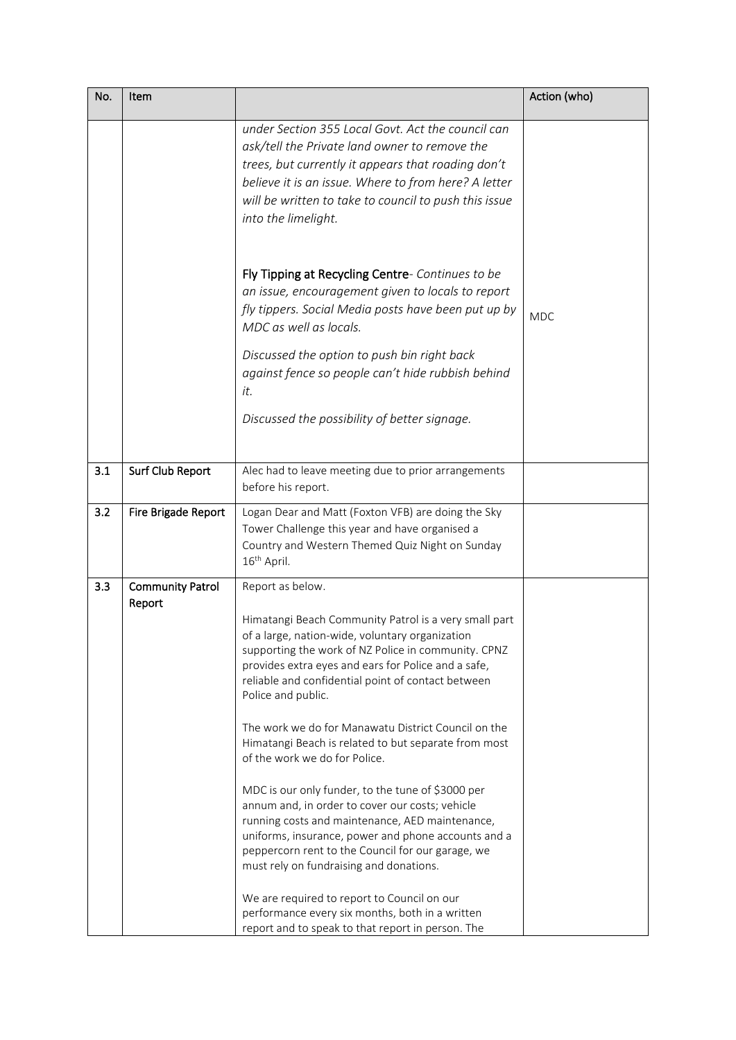| No. | Item                              |                                                                                                                                                                                                                                                                                                                                                                                                                                                                                                                                                                                                                                                                                                                                                                                                                                                                                                                                                 | Action (who) |
|-----|-----------------------------------|-------------------------------------------------------------------------------------------------------------------------------------------------------------------------------------------------------------------------------------------------------------------------------------------------------------------------------------------------------------------------------------------------------------------------------------------------------------------------------------------------------------------------------------------------------------------------------------------------------------------------------------------------------------------------------------------------------------------------------------------------------------------------------------------------------------------------------------------------------------------------------------------------------------------------------------------------|--------------|
|     |                                   | under Section 355 Local Govt. Act the council can<br>ask/tell the Private land owner to remove the<br>trees, but currently it appears that roading don't<br>believe it is an issue. Where to from here? A letter<br>will be written to take to council to push this issue<br>into the limelight.                                                                                                                                                                                                                                                                                                                                                                                                                                                                                                                                                                                                                                                |              |
|     |                                   | Fly Tipping at Recycling Centre- Continues to be<br>an issue, encouragement given to locals to report<br>fly tippers. Social Media posts have been put up by<br>MDC as well as locals.<br>Discussed the option to push bin right back<br>against fence so people can't hide rubbish behind<br>it.                                                                                                                                                                                                                                                                                                                                                                                                                                                                                                                                                                                                                                               | <b>MDC</b>   |
|     |                                   | Discussed the possibility of better signage.                                                                                                                                                                                                                                                                                                                                                                                                                                                                                                                                                                                                                                                                                                                                                                                                                                                                                                    |              |
| 3.1 | Surf Club Report                  | Alec had to leave meeting due to prior arrangements<br>before his report.                                                                                                                                                                                                                                                                                                                                                                                                                                                                                                                                                                                                                                                                                                                                                                                                                                                                       |              |
| 3.2 | Fire Brigade Report               | Logan Dear and Matt (Foxton VFB) are doing the Sky<br>Tower Challenge this year and have organised a<br>Country and Western Themed Quiz Night on Sunday<br>16 <sup>th</sup> April.                                                                                                                                                                                                                                                                                                                                                                                                                                                                                                                                                                                                                                                                                                                                                              |              |
| 3.3 | <b>Community Patrol</b><br>Report | Report as below.<br>Himatangi Beach Community Patrol is a very small part<br>of a large, nation-wide, voluntary organization<br>supporting the work of NZ Police in community. CPNZ<br>provides extra eyes and ears for Police and a safe,<br>reliable and confidential point of contact between<br>Police and public.<br>The work we do for Manawatu District Council on the<br>Himatangi Beach is related to but separate from most<br>of the work we do for Police.<br>MDC is our only funder, to the tune of \$3000 per<br>annum and, in order to cover our costs; vehicle<br>running costs and maintenance, AED maintenance,<br>uniforms, insurance, power and phone accounts and a<br>peppercorn rent to the Council for our garage, we<br>must rely on fundraising and donations.<br>We are required to report to Council on our<br>performance every six months, both in a written<br>report and to speak to that report in person. The |              |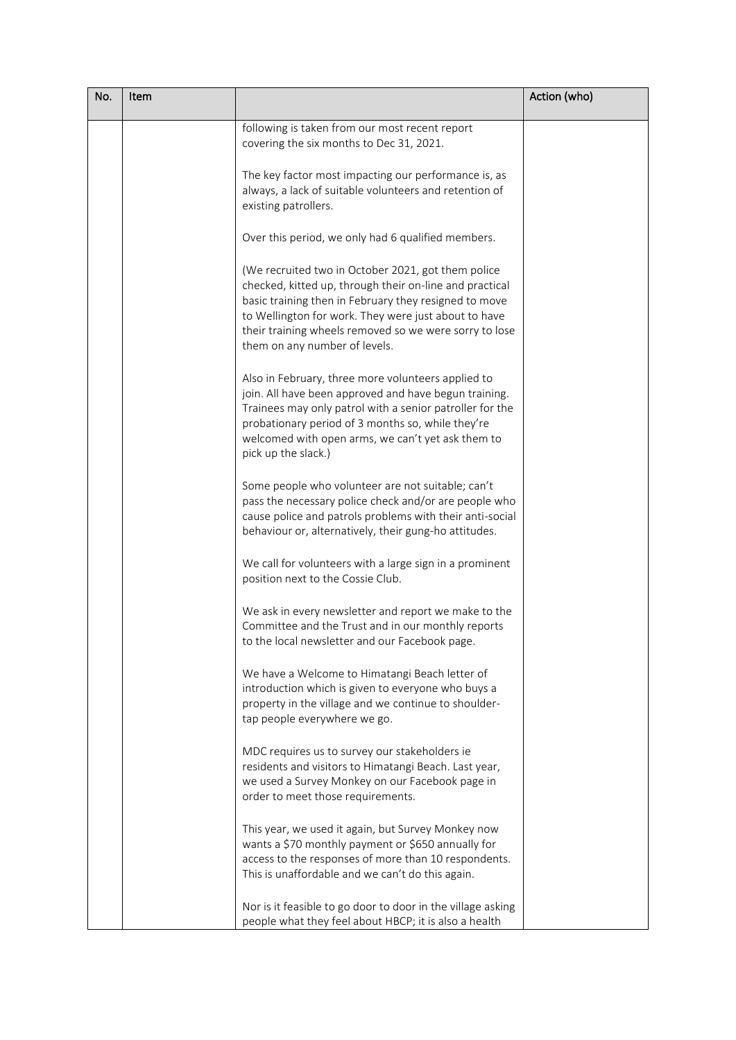| No. | Item |                                                                                                                                                                                                                                                                                                                           | Action (who) |
|-----|------|---------------------------------------------------------------------------------------------------------------------------------------------------------------------------------------------------------------------------------------------------------------------------------------------------------------------------|--------------|
|     |      | following is taken from our most recent report<br>covering the six months to Dec 31, 2021.                                                                                                                                                                                                                                |              |
|     |      | The key factor most impacting our performance is, as<br>always, a lack of suitable volunteers and retention of<br>existing patrollers.                                                                                                                                                                                    |              |
|     |      | Over this period, we only had 6 qualified members.                                                                                                                                                                                                                                                                        |              |
|     |      | (We recruited two in October 2021, got them police<br>checked, kitted up, through their on-line and practical<br>basic training then in February they resigned to move<br>to Wellington for work. They were just about to have<br>their training wheels removed so we were sorry to lose<br>them on any number of levels. |              |
|     |      | Also in February, three more volunteers applied to<br>join. All have been approved and have begun training.<br>Trainees may only patrol with a senior patroller for the<br>probationary period of 3 months so, while they're<br>welcomed with open arms, we can't yet ask them to<br>pick up the slack.)                  |              |
|     |      | Some people who volunteer are not suitable; can't<br>pass the necessary police check and/or are people who<br>cause police and patrols problems with their anti-social<br>behaviour or, alternatively, their gung-ho attitudes.                                                                                           |              |
|     |      | We call for volunteers with a large sign in a prominent<br>position next to the Cossie Club.                                                                                                                                                                                                                              |              |
|     |      | We ask in every newsletter and report we make to the<br>Committee and the Trust and in our monthly reports<br>to the local newsletter and our Facebook page.                                                                                                                                                              |              |
|     |      | We have a Welcome to Himatangi Beach letter of<br>introduction which is given to everyone who buys a<br>property in the village and we continue to shoulder-<br>tap people everywhere we go.                                                                                                                              |              |
|     |      | MDC requires us to survey our stakeholders ie<br>residents and visitors to Himatangi Beach. Last year,<br>we used a Survey Monkey on our Facebook page in<br>order to meet those requirements.                                                                                                                            |              |
|     |      | This year, we used it again, but Survey Monkey now<br>wants a \$70 monthly payment or \$650 annually for<br>access to the responses of more than 10 respondents.<br>This is unaffordable and we can't do this again.                                                                                                      |              |
|     |      | Nor is it feasible to go door to door in the village asking<br>people what they feel about HBCP; it is also a health                                                                                                                                                                                                      |              |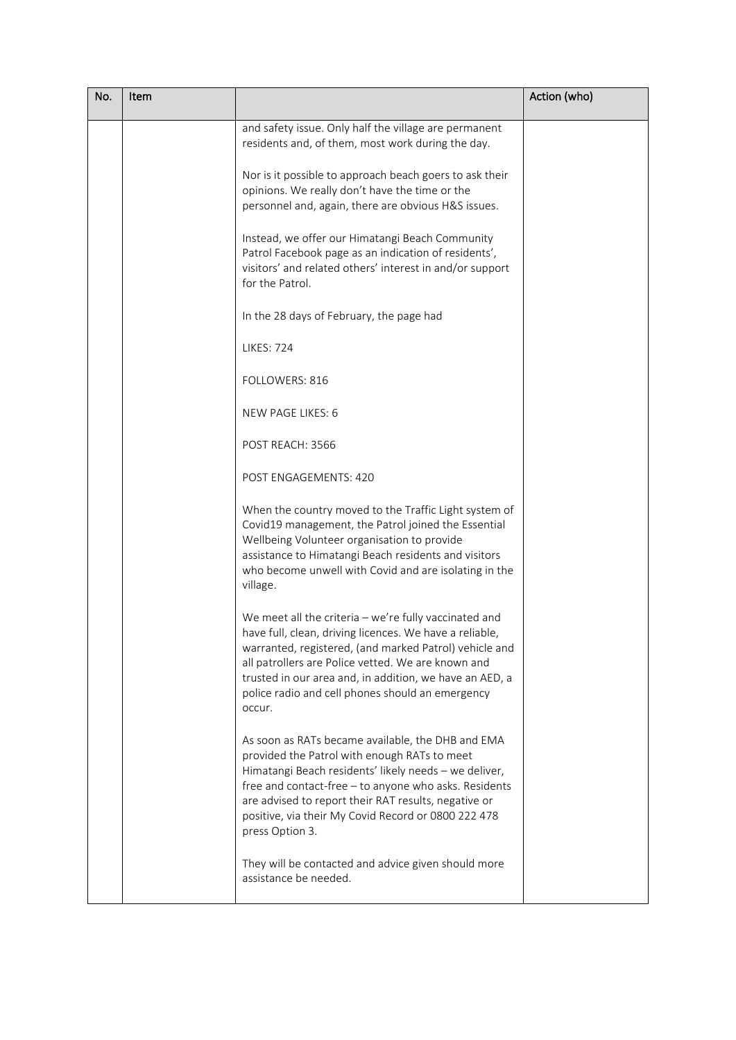| No. | Item |                                                                                                                                                                                                                                                                                                                                                             | Action (who) |
|-----|------|-------------------------------------------------------------------------------------------------------------------------------------------------------------------------------------------------------------------------------------------------------------------------------------------------------------------------------------------------------------|--------------|
|     |      | and safety issue. Only half the village are permanent<br>residents and, of them, most work during the day.                                                                                                                                                                                                                                                  |              |
|     |      | Nor is it possible to approach beach goers to ask their<br>opinions. We really don't have the time or the<br>personnel and, again, there are obvious H&S issues.                                                                                                                                                                                            |              |
|     |      | Instead, we offer our Himatangi Beach Community<br>Patrol Facebook page as an indication of residents',<br>visitors' and related others' interest in and/or support<br>for the Patrol.                                                                                                                                                                      |              |
|     |      | In the 28 days of February, the page had                                                                                                                                                                                                                                                                                                                    |              |
|     |      | <b>LIKES: 724</b>                                                                                                                                                                                                                                                                                                                                           |              |
|     |      | FOLLOWERS: 816                                                                                                                                                                                                                                                                                                                                              |              |
|     |      | NEW PAGE LIKES: 6                                                                                                                                                                                                                                                                                                                                           |              |
|     |      | POST REACH: 3566                                                                                                                                                                                                                                                                                                                                            |              |
|     |      | POST ENGAGEMENTS: 420                                                                                                                                                                                                                                                                                                                                       |              |
|     |      | When the country moved to the Traffic Light system of<br>Covid19 management, the Patrol joined the Essential<br>Wellbeing Volunteer organisation to provide<br>assistance to Himatangi Beach residents and visitors<br>who become unwell with Covid and are isolating in the<br>village.                                                                    |              |
|     |      | We meet all the criteria $-$ we're fully vaccinated and<br>have full, clean, driving licences. We have a reliable,<br>warranted, registered, (and marked Patrol) vehicle and<br>all patrollers are Police vetted. We are known and<br>trusted in our area and, in addition, we have an AED, a<br>police radio and cell phones should an emergency<br>occur. |              |
|     |      | As soon as RATs became available, the DHB and EMA<br>provided the Patrol with enough RATs to meet<br>Himatangi Beach residents' likely needs - we deliver,<br>free and contact-free - to anyone who asks. Residents<br>are advised to report their RAT results, negative or<br>positive, via their My Covid Record or 0800 222 478<br>press Option 3.       |              |
|     |      | They will be contacted and advice given should more<br>assistance be needed.                                                                                                                                                                                                                                                                                |              |